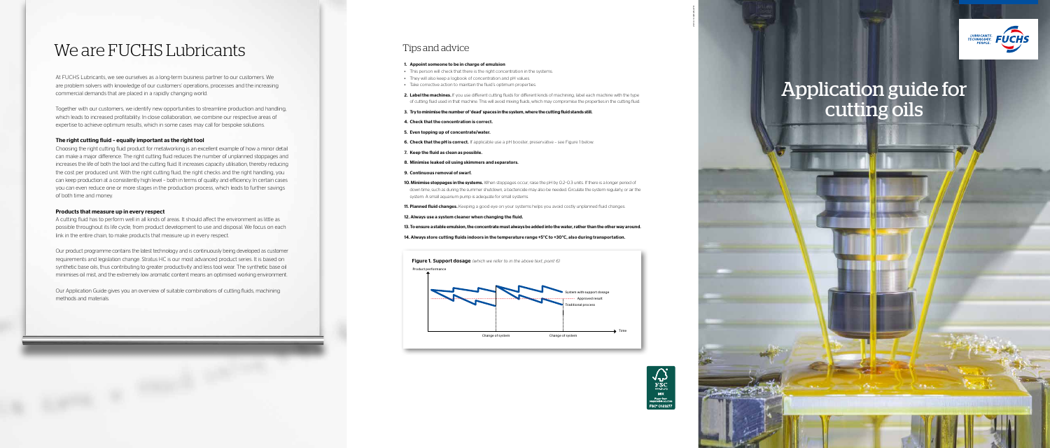# Application guide for cutting oils

## We are FUCHS Lubricants

At FUCHS Lubricants, we see ourselves as a long-term business partner to our customers. We are problem solvers with knowledge of our customers' operations, processes and the increasing commercial demands that are placed in a rapidly changing world.

Together with our customers, we identify new opportunities to streamline production and handling, which leads to increased profitability. In close collaboration, we combine our respective areas of expertise to achieve optimum results, which in some cases may call for bespoke solutions.

### The right cutting fluid – equally important as the right tool

Choosing the right cutting fluid product for metalworking is an excellent example of how a minor detail can make a major difference. The right cutting fluid reduces the number of unplanned stoppages and increases the life of both the tool and the cutting fluid. It increases capacity utilisation, thereby reducing the cost per produced unit. With the right cutting fluid, the right checks and the right handling, you can keep production at a consistently high level – both in terms of quality and efficiency. In certain cases you can even reduce one or more stages in the production process, which leads to further savings of both time and money.

## Products that measure up in every respect

2. Label the machines. If you use different cutting fluids for different kinds of machining, label each machine with the type of cutting fluid used in that machine. This will avoid mixing fluids, which may compromise the properties in the cutting fluid.

A cutting fluid has to perform well in all kinds of areas. It should affect the environment as little as possible throughout its life cycle, from product development to use and disposal. We focus on each link in the entire chain, to make products that measure up in every respect.

10. Minimise stoppages in the systems. When stoppages occur, raise the pH by 0.2-0.3 units. If there is a longer period of down time, such as during the summer shutdown, a bactericide may also be needed. Circulate the system regularly, or air the

11. Planned fluid changes. Keeping a good eye on your systems helps you avoid costly unplanned fluid changes.

Our product programme contains the latest technology and is continuously being developed as customer requirements and legislation change. Stratus HC is our most advanced product series. It is based on synthetic base oils, thus contributing to greater productivity and less tool wear. The synthetic base oil minimises oil mist, and the extremely low aromatic content means an optimised working environment.

Our Application Guide gives you an overview of suitable combinations of cutting fluids, machining methods and materials.

### 1. Appoint someone to be in charge of emulsion

- This person will check that there is the right concentration in the systems.
- They will also keep a logbook of concentration and pH values.
- Take corrective action to maintain the fluid's optimum properties.
- 
- 3. Try to minimise the number of 'dead' spaces in the system, where the cutting fluid stands still.
- 4. Check that the concentration is correct.
- 5. Even topping up of concentrate/water.
- 6. Check that the pH is correct. If applicable use a pH booster, preservative see Figure 1 below.
- 7. Keep the fluid as clean as possible.
- 8. Minimise leaked oil using skimmers and separators.
- 9. Continuous removal of swarf.
- system. A small aquarium pump is adequate for small systems.
- 
- 12. Always use a system cleaner when changing the fluid.
- 
- 

13. To ensure a stable emulsion, the concentrate must always be added into the water, rather than the other way around.

14. Always store cutting fluids indoors in the temperature range +5°C to +30°C, also during transportation.

## Tips and advice

Figure 1. Support dosage *(which we refer to in the above text, point 6)* Product performance





2016.10 GRANATH